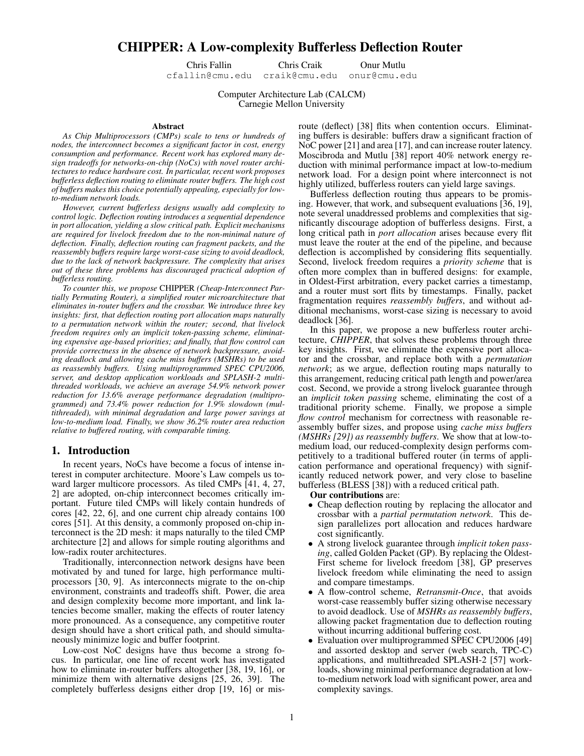# CHIPPER: A Low-complexity Bufferless Deflection Router

Chris Fallin Chris Craik Onur Mutlu cfallin@cmu.edu craik@cmu.edu onur@cmu.edu

Computer Architecture Lab (CALCM) Carnegie Mellon University

#### Abstract

*As Chip Multiprocessors (CMPs) scale to tens or hundreds of nodes, the interconnect becomes a significant factor in cost, energy consumption and performance. Recent work has explored many design tradeoffs for networks-on-chip (NoCs) with novel router architectures to reduce hardware cost. In particular, recent work proposes bufferless deflection routing to eliminate router buffers. The high cost of buffers makes this choice potentially appealing, especially for lowto-medium network loads.*

*However, current bufferless designs usually add complexity to control logic. Deflection routing introduces a sequential dependence in port allocation, yielding a slow critical path. Explicit mechanisms are required for livelock freedom due to the non-minimal nature of deflection. Finally, deflection routing can fragment packets, and the reassembly buffers require large worst-case sizing to avoid deadlock, due to the lack of network backpressure. The complexity that arises out of these three problems has discouraged practical adoption of bufferless routing.*

*To counter this, we propose* CHIPPER *(Cheap-Interconnect Partially Permuting Router), a simplified router microarchitecture that eliminates in-router buffers and the crossbar. We introduce three key insights: first, that deflection routing port allocation maps naturally to a permutation network within the router; second, that livelock freedom requires only an implicit token-passing scheme, eliminating expensive age-based priorities; and finally, that flow control can provide correctness in the absence of network backpressure, avoiding deadlock and allowing cache miss buffers (MSHRs) to be used as reassembly buffers. Using multiprogrammed SPEC CPU2006, server, and desktop application workloads and SPLASH-2 multithreaded workloads, we achieve an average 54.9% network power reduction for 13.6% average performance degradation (multiprogrammed) and 73.4% power reduction for 1.9% slowdown (multithreaded), with minimal degradation and large power savings at low-to-medium load. Finally, we show 36.2% router area reduction relative to buffered routing, with comparable timing.*

### 1. Introduction

In recent years, NoCs have become a focus of intense interest in computer architecture. Moore's Law compels us toward larger multicore processors. As tiled CMPs [41, 4, 27, 2] are adopted, on-chip interconnect becomes critically important. Future tiled CMPs will likely contain hundreds of cores [42, 22, 6], and one current chip already contains 100 cores [51]. At this density, a commonly proposed on-chip interconnect is the 2D mesh: it maps naturally to the tiled CMP architecture [2] and allows for simple routing algorithms and low-radix router architectures.

Traditionally, interconnection network designs have been motivated by and tuned for large, high performance multiprocessors [30, 9]. As interconnects migrate to the on-chip environment, constraints and tradeoffs shift. Power, die area and design complexity become more important, and link latencies become smaller, making the effects of router latency more pronounced. As a consequence, any competitive router design should have a short critical path, and should simultaneously minimize logic and buffer footprint.

Low-cost NoC designs have thus become a strong focus. In particular, one line of recent work has investigated how to eliminate in-router buffers altogether [38, 19, 16], or minimize them with alternative designs [25, 26, 39]. The completely bufferless designs either drop [19, 16] or misroute (deflect) [38] flits when contention occurs. Eliminating buffers is desirable: buffers draw a significant fraction of NoC power [21] and area [17], and can increase router latency. Moscibroda and Mutlu [38] report 40% network energy reduction with minimal performance impact at low-to-medium network load. For a design point where interconnect is not highly utilized, bufferless routers can yield large savings.

Bufferless deflection routing thus appears to be promising. However, that work, and subsequent evaluations [36, 19], note several unaddressed problems and complexities that significantly discourage adoption of bufferless designs. First, a long critical path in *port allocation* arises because every flit must leave the router at the end of the pipeline, and because deflection is accomplished by considering flits sequentially. Second, livelock freedom requires a *priority scheme* that is often more complex than in buffered designs: for example, in Oldest-First arbitration, every packet carries a timestamp, and a router must sort flits by timestamps. Finally, packet fragmentation requires *reassembly buffers*, and without additional mechanisms, worst-case sizing is necessary to avoid deadlock [36].

In this paper, we propose a new bufferless router architecture, *CHIPPER*, that solves these problems through three key insights. First, we eliminate the expensive port allocator and the crossbar, and replace both with a *permutation network*; as we argue, deflection routing maps naturally to this arrangement, reducing critical path length and power/area cost. Second, we provide a strong livelock guarantee through an *implicit token passing* scheme, eliminating the cost of a traditional priority scheme. Finally, we propose a simple *flow control* mechanism for correctness with reasonable reassembly buffer sizes, and propose using *cache miss buffers (MSHRs [29]) as reassembly buffers*. We show that at low-tomedium load, our reduced-complexity design performs competitively to a traditional buffered router (in terms of application performance and operational frequency) with significantly reduced network power, and very close to baseline bufferless (BLESS [38]) with a reduced critical path.

### Our contributions are:

- Cheap deflection routing by replacing the allocator and crossbar with a *partial permutation network*. This design parallelizes port allocation and reduces hardware cost significantly.
- A strong livelock guarantee through *implicit token passing*, called Golden Packet (GP). By replacing the Oldest-First scheme for livelock freedom [38], GP preserves livelock freedom while eliminating the need to assign and compare timestamps.
- A flow-control scheme, *Retransmit-Once*, that avoids worst-case reassembly buffer sizing otherwise necessary to avoid deadlock. Use of *MSHRs as reassembly buffers*, allowing packet fragmentation due to deflection routing without incurring additional buffering cost.
- Evaluation over multiprogrammed SPEC CPU2006 [49] and assorted desktop and server (web search, TPC-C) applications, and multithreaded SPLASH-2 [57] workloads, showing minimal performance degradation at lowto-medium network load with significant power, area and complexity savings.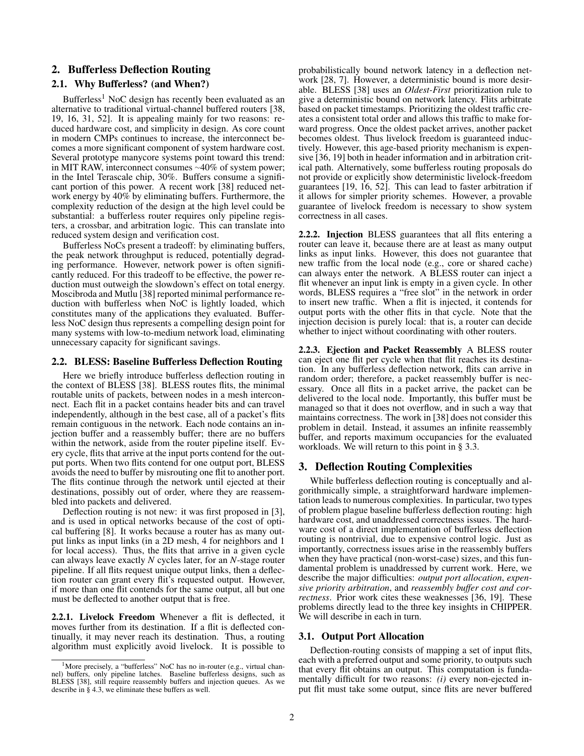## 2. Bufferless Deflection Routing

## 2.1. Why Bufferless? (and When?)

Bufferless<sup>1</sup> NoC design has recently been evaluated as an alternative to traditional virtual-channel buffered routers [38, 19, 16, 31, 52]. It is appealing mainly for two reasons: reduced hardware cost, and simplicity in design. As core count in modern CMPs continues to increase, the interconnect becomes a more significant component of system hardware cost. Several prototype manycore systems point toward this trend: in MIT RAW, interconnect consumes ∼40% of system power; in the Intel Terascale chip, 30%. Buffers consume a significant portion of this power. A recent work [38] reduced network energy by 40% by eliminating buffers. Furthermore, the complexity reduction of the design at the high level could be substantial: a bufferless router requires only pipeline registers, a crossbar, and arbitration logic. This can translate into reduced system design and verification cost.

Bufferless NoCs present a tradeoff: by eliminating buffers, the peak network throughput is reduced, potentially degrading performance. However, network power is often significantly reduced. For this tradeoff to be effective, the power reduction must outweigh the slowdown's effect on total energy. Moscibroda and Mutlu [38] reported minimal performance reduction with bufferless when NoC is lightly loaded, which constitutes many of the applications they evaluated. Bufferless NoC design thus represents a compelling design point for many systems with low-to-medium network load, eliminating unnecessary capacity for significant savings.

### 2.2. BLESS: Baseline Bufferless Deflection Routing

Here we briefly introduce bufferless deflection routing in the context of BLESS [38]. BLESS routes flits, the minimal routable units of packets, between nodes in a mesh interconnect. Each flit in a packet contains header bits and can travel independently, although in the best case, all of a packet's flits remain contiguous in the network. Each node contains an injection buffer and a reassembly buffer; there are no buffers within the network, aside from the router pipeline itself. Every cycle, flits that arrive at the input ports contend for the output ports. When two flits contend for one output port, BLESS avoids the need to buffer by misrouting one flit to another port. The flits continue through the network until ejected at their destinations, possibly out of order, where they are reassembled into packets and delivered.

Deflection routing is not new: it was first proposed in [3], and is used in optical networks because of the cost of optical buffering [8]. It works because a router has as many output links as input links (in a 2D mesh, 4 for neighbors and 1 for local access). Thus, the flits that arrive in a given cycle can always leave exactly *N* cycles later, for an *N*-stage router pipeline. If all flits request unique output links, then a deflection router can grant every flit's requested output. However, if more than one flit contends for the same output, all but one must be deflected to another output that is free.

2.2.1. Livelock Freedom Whenever a flit is deflected, it moves further from its destination. If a flit is deflected continually, it may never reach its destination. Thus, a routing algorithm must explicitly avoid livelock. It is possible to

probabilistically bound network latency in a deflection network [28, 7]. However, a deterministic bound is more desirable. BLESS [38] uses an *Oldest-First* prioritization rule to give a deterministic bound on network latency. Flits arbitrate based on packet timestamps. Prioritizing the oldest traffic creates a consistent total order and allows this traffic to make forward progress. Once the oldest packet arrives, another packet becomes oldest. Thus livelock freedom is guaranteed inductively. However, this age-based priority mechanism is expensive [36, 19] both in header information and in arbitration critical path. Alternatively, some bufferless routing proposals do not provide or explicitly show deterministic livelock-freedom guarantees [19, 16, 52]. This can lead to faster arbitration if it allows for simpler priority schemes. However, a provable guarantee of livelock freedom is necessary to show system correctness in all cases.

2.2.2. Injection BLESS guarantees that all flits entering a router can leave it, because there are at least as many output links as input links. However, this does not guarantee that new traffic from the local node (e.g., core or shared cache) can always enter the network. A BLESS router can inject a flit whenever an input link is empty in a given cycle. In other words, BLESS requires a "free slot" in the network in order to insert new traffic. When a flit is injected, it contends for output ports with the other flits in that cycle. Note that the injection decision is purely local: that is, a router can decide whether to inject without coordinating with other routers.

2.2.3. Ejection and Packet Reassembly A BLESS router can eject one flit per cycle when that flit reaches its destination. In any bufferless deflection network, flits can arrive in random order; therefore, a packet reassembly buffer is necessary. Once all flits in a packet arrive, the packet can be delivered to the local node. Importantly, this buffer must be managed so that it does not overflow, and in such a way that maintains correctness. The work in [38] does not consider this problem in detail. Instead, it assumes an infinite reassembly buffer, and reports maximum occupancies for the evaluated workloads. We will return to this point in § 3.3.

## 3. Deflection Routing Complexities

While bufferless deflection routing is conceptually and algorithmically simple, a straightforward hardware implementation leads to numerous complexities. In particular, two types of problem plague baseline bufferless deflection routing: high hardware cost, and unaddressed correctness issues. The hardware cost of a direct implementation of bufferless deflection routing is nontrivial, due to expensive control logic. Just as importantly, correctness issues arise in the reassembly buffers when they have practical (non-worst-case) sizes, and this fundamental problem is unaddressed by current work. Here, we describe the major difficulties: *output port allocation*, *expensive priority arbitration*, and *reassembly buffer cost and correctness*. Prior work cites these weaknesses [36, 19]. These problems directly lead to the three key insights in CHIPPER. We will describe in each in turn.

#### 3.1. Output Port Allocation

Deflection-routing consists of mapping a set of input flits, each with a preferred output and some priority, to outputs such that every flit obtains an output. This computation is fundamentally difficult for two reasons: *(i)* every non-ejected input flit must take some output, since flits are never buffered

<sup>&</sup>lt;sup>1</sup>More precisely, a "bufferless" NoC has no in-router (e.g., virtual channel) buffers, only pipeline latches. Baseline bufferless designs, such as BLESS [38], still require reassembly buffers and injection queues. As we describe in § 4.3, we eliminate these buffers as well.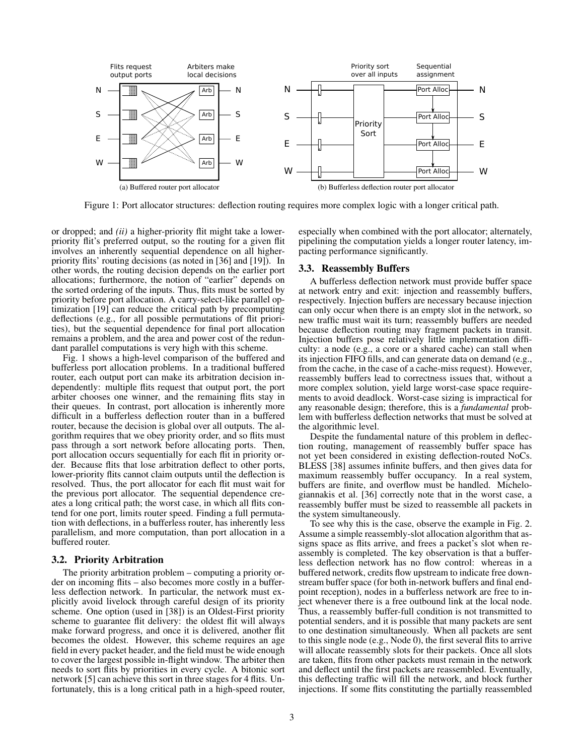

Figure 1: Port allocator structures: deflection routing requires more complex logic with a longer critical path.

or dropped; and *(ii)* a higher-priority flit might take a lowerpriority flit's preferred output, so the routing for a given flit involves an inherently sequential dependence on all higherpriority flits' routing decisions (as noted in [36] and [19]). In other words, the routing decision depends on the earlier port allocations; furthermore, the notion of "earlier" depends on the sorted ordering of the inputs. Thus, flits must be sorted by priority before port allocation. A carry-select-like parallel optimization [19] can reduce the critical path by precomputing deflections (e.g., for all possible permutations of flit priorities), but the sequential dependence for final port allocation remains a problem, and the area and power cost of the redundant parallel computations is very high with this scheme.

Fig. 1 shows a high-level comparison of the buffered and bufferless port allocation problems. In a traditional buffered router, each output port can make its arbitration decision independently: multiple flits request that output port, the port arbiter chooses one winner, and the remaining flits stay in their queues. In contrast, port allocation is inherently more difficult in a bufferless deflection router than in a buffered router, because the decision is global over all outputs. The algorithm requires that we obey priority order, and so flits must pass through a sort network before allocating ports. Then, port allocation occurs sequentially for each flit in priority order. Because flits that lose arbitration deflect to other ports, lower-priority flits cannot claim outputs until the deflection is resolved. Thus, the port allocator for each flit must wait for the previous port allocator. The sequential dependence creates a long critical path; the worst case, in which all flits contend for one port, limits router speed. Finding a full permutation with deflections, in a bufferless router, has inherently less parallelism, and more computation, than port allocation in a buffered router.

### 3.2. Priority Arbitration

The priority arbitration problem – computing a priority order on incoming flits – also becomes more costly in a bufferless deflection network. In particular, the network must explicitly avoid livelock through careful design of its priority scheme. One option (used in [38]) is an Oldest-First priority scheme to guarantee flit delivery: the oldest flit will always make forward progress, and once it is delivered, another flit becomes the oldest. However, this scheme requires an age field in every packet header, and the field must be wide enough to cover the largest possible in-flight window. The arbiter then needs to sort flits by priorities in every cycle. A bitonic sort network [5] can achieve this sort in three stages for 4 flits. Unfortunately, this is a long critical path in a high-speed router, especially when combined with the port allocator; alternately, pipelining the computation yields a longer router latency, impacting performance significantly.

### 3.3. Reassembly Buffers

A bufferless deflection network must provide buffer space at network entry and exit: injection and reassembly buffers, respectively. Injection buffers are necessary because injection can only occur when there is an empty slot in the network, so new traffic must wait its turn; reassembly buffers are needed because deflection routing may fragment packets in transit. Injection buffers pose relatively little implementation difficulty: a node (e.g., a core or a shared cache) can stall when its injection FIFO fills, and can generate data on demand (e.g., from the cache, in the case of a cache-miss request). However, reassembly buffers lead to correctness issues that, without a more complex solution, yield large worst-case space requirements to avoid deadlock. Worst-case sizing is impractical for any reasonable design; therefore, this is a *fundamental* problem with bufferless deflection networks that must be solved at the algorithmic level.

Despite the fundamental nature of this problem in deflection routing, management of reassembly buffer space has not yet been considered in existing deflection-routed NoCs. BLESS [38] assumes infinite buffers, and then gives data for maximum reassembly buffer occupancy. In a real system, buffers are finite, and overflow must be handled. Michelogiannakis et al. [36] correctly note that in the worst case, a reassembly buffer must be sized to reassemble all packets in the system simultaneously.

To see why this is the case, observe the example in Fig. 2. Assume a simple reassembly-slot allocation algorithm that assigns space as flits arrive, and frees a packet's slot when reassembly is completed. The key observation is that a bufferless deflection network has no flow control: whereas in a buffered network, credits flow upstream to indicate free downstream buffer space (for both in-network buffers and final endpoint reception), nodes in a bufferless network are free to inject whenever there is a free outbound link at the local node. Thus, a reassembly buffer-full condition is not transmitted to potential senders, and it is possible that many packets are sent to one destination simultaneously. When all packets are sent to this single node (e.g., Node 0), the first several flits to arrive will allocate reassembly slots for their packets. Once all slots are taken, flits from other packets must remain in the network and deflect until the first packets are reassembled. Eventually, this deflecting traffic will fill the network, and block further injections. If some flits constituting the partially reassembled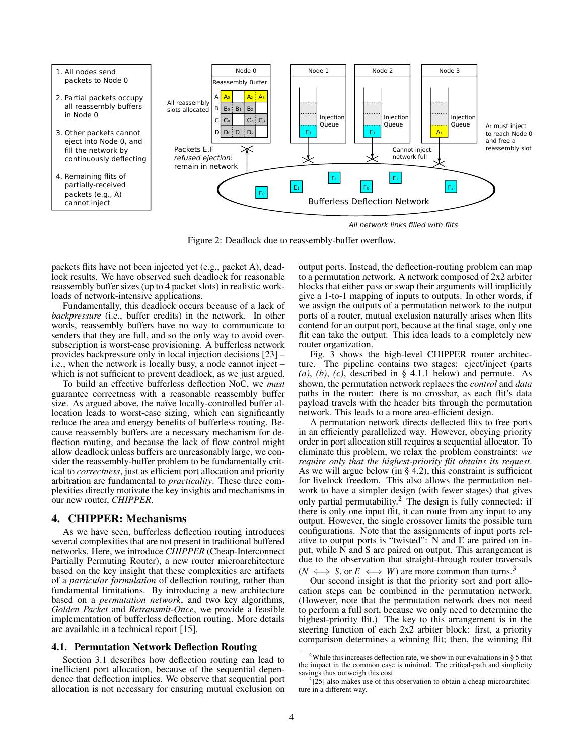

All network links filled with flits

Figure 2: Deadlock due to reassembly-buffer overflow.

packets flits have not been injected yet (e.g., packet A), deadlock results. We have observed such deadlock for reasonable reassembly buffer sizes (up to 4 packet slots) in realistic workloads of network-intensive applications.

Fundamentally, this deadlock occurs because of a lack of *backpressure* (i.e., buffer credits) in the network. In other words, reassembly buffers have no way to communicate to senders that they are full, and so the only way to avoid oversubscription is worst-case provisioning. A bufferless network provides backpressure only in local injection decisions [23] – i.e., when the network is locally busy, a node cannot inject – which is not sufficient to prevent deadlock, as we just argued.

To build an effective bufferless deflection NoC, we *must* guarantee correctness with a reasonable reassembly buffer size. As argued above, the naïve locally-controlled buffer allocation leads to worst-case sizing, which can significantly reduce the area and energy benefits of bufferless routing. Because reassembly buffers are a necessary mechanism for deflection routing, and because the lack of flow control might allow deadlock unless buffers are unreasonably large, we consider the reassembly-buffer problem to be fundamentally critical to *correctness*, just as efficient port allocation and priority arbitration are fundamental to *practicality*. These three complexities directly motivate the key insights and mechanisms in our new router, *CHIPPER*.

### 4. CHIPPER: Mechanisms

As we have seen, bufferless deflection routing introduces several complexities that are not present in traditional buffered networks. Here, we introduce *CHIPPER* (Cheap-Interconnect Partially Permuting Router), a new router microarchitecture based on the key insight that these complexities are artifacts of a *particular formulation* of deflection routing, rather than fundamental limitations. By introducing a new architecture based on a *permutation network*, and two key algorithms, *Golden Packet* and *Retransmit-Once*, we provide a feasible implementation of bufferless deflection routing. More details are available in a technical report [15].

### 4.1. Permutation Network Deflection Routing

Section 3.1 describes how deflection routing can lead to inefficient port allocation, because of the sequential dependence that deflection implies. We observe that sequential port allocation is not necessary for ensuring mutual exclusion on

output ports. Instead, the deflection-routing problem can map to a permutation network. A network composed of 2x2 arbiter blocks that either pass or swap their arguments will implicitly give a 1-to-1 mapping of inputs to outputs. In other words, if we assign the outputs of a permutation network to the output ports of a router, mutual exclusion naturally arises when flits contend for an output port, because at the final stage, only one flit can take the output. This idea leads to a completely new router organization.

Fig. 3 shows the high-level CHIPPER router architecture. The pipeline contains two stages: eject/inject (parts *(a)*, *(b)*, *(c)*, described in § 4.1.1 below) and permute. As shown, the permutation network replaces the *control* and *data* paths in the router: there is no crossbar, as each flit's data payload travels with the header bits through the permutation network. This leads to a more area-efficient design.

A permutation network directs deflected flits to free ports in an efficiently parallelized way. However, obeying priority order in port allocation still requires a sequential allocator. To eliminate this problem, we relax the problem constraints: *we require only that the highest-priority flit obtains its request*. As we will argue below (in  $\S$  4.2), this constraint is sufficient for livelock freedom. This also allows the permutation network to have a simpler design (with fewer stages) that gives only partial permutability.<sup>2</sup> The design is fully connected: if there is only one input flit, it can route from any input to any output. However, the single crossover limits the possible turn configurations. Note that the assignments of input ports relative to output ports is "twisted": N and E are paired on input, while N and S are paired on output. This arrangement is due to the observation that straight-through router traversals  $(N \iff S, \text{ or } E \iff W)$  are more common than turns.<sup>3</sup>

Our second insight is that the priority sort and port allocation steps can be combined in the permutation network. (However, note that the permutation network does not need to perform a full sort, because we only need to determine the highest-priority flit.) The key to this arrangement is in the steering function of each 2x2 arbiter block: first, a priority comparison determines a winning flit; then, the winning flit

<sup>&</sup>lt;sup>2</sup>While this increases deflection rate, we show in our evaluations in § 5 that the impact in the common case is minimal. The critical-path and simplicity savings thus outweigh this cost.

 $3$ [25] also makes use of this observation to obtain a cheap microarchitecture in a different way.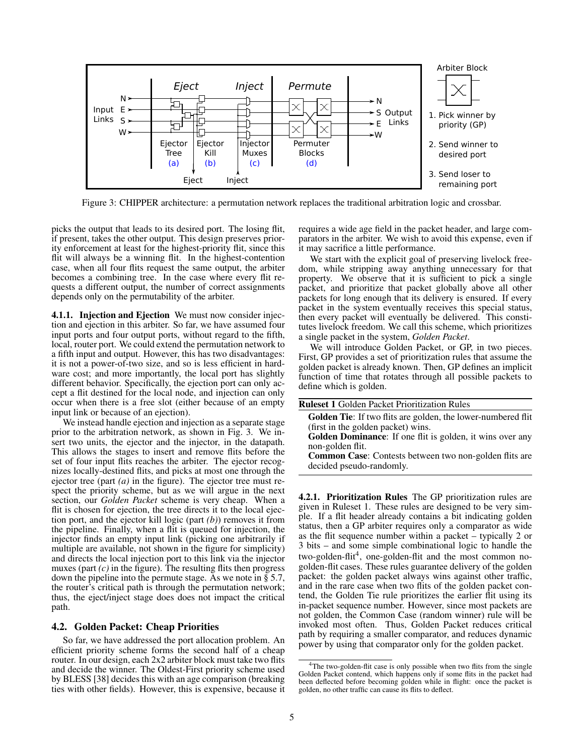

Figure 3: CHIPPER architecture: a permutation network replaces the traditional arbitration logic and crossbar.

picks the output that leads to its desired port. The losing flit, if present, takes the other output. This design preserves priority enforcement at least for the highest-priority flit, since this flit will always be a winning flit. In the highest-contention case, when all four flits request the same output, the arbiter becomes a combining tree. In the case where every flit requests a different output, the number of correct assignments depends only on the permutability of the arbiter.

4.1.1. Injection and Ejection We must now consider injection and ejection in this arbiter. So far, we have assumed four input ports and four output ports, without regard to the fifth, local, router port. We could extend the permutation network to a fifth input and output. However, this has two disadvantages: it is not a power-of-two size, and so is less efficient in hardware cost; and more importantly, the local port has slightly different behavior. Specifically, the ejection port can only accept a flit destined for the local node, and injection can only occur when there is a free slot (either because of an empty input link or because of an ejection).

We instead handle ejection and injection as a separate stage prior to the arbitration network, as shown in Fig. 3. We insert two units, the ejector and the injector, in the datapath. This allows the stages to insert and remove flits before the set of four input flits reaches the arbiter. The ejector recognizes locally-destined flits, and picks at most one through the ejector tree (part *(a)* in the figure). The ejector tree must respect the priority scheme, but as we will argue in the next section, our *Golden Packet* scheme is very cheap. When a flit is chosen for ejection, the tree directs it to the local ejection port, and the ejector kill logic (part *(b)*) removes it from the pipeline. Finally, when a flit is queued for injection, the injector finds an empty input link (picking one arbitrarily if multiple are available, not shown in the figure for simplicity) and directs the local injection port to this link via the injector muxes (part  $(c)$  in the figure). The resulting flits then progress down the pipeline into the permute stage. As we note in § 5.7, the router's critical path is through the permutation network; thus, the eject/inject stage does does not impact the critical path.

### 4.2. Golden Packet: Cheap Priorities

So far, we have addressed the port allocation problem. An efficient priority scheme forms the second half of a cheap router. In our design, each 2x2 arbiter block must take two flits and decide the winner. The Oldest-First priority scheme used by BLESS [38] decides this with an age comparison (breaking ties with other fields). However, this is expensive, because it requires a wide age field in the packet header, and large comparators in the arbiter. We wish to avoid this expense, even if it may sacrifice a little performance.

We start with the explicit goal of preserving livelock freedom, while stripping away anything unnecessary for that property. We observe that it is sufficient to pick a single packet, and prioritize that packet globally above all other packets for long enough that its delivery is ensured. If every packet in the system eventually receives this special status, then every packet will eventually be delivered. This constitutes livelock freedom. We call this scheme, which prioritizes a single packet in the system, *Golden Packet*.

We will introduce Golden Packet, or GP, in two pieces. First, GP provides a set of prioritization rules that assume the golden packet is already known. Then, GP defines an implicit function of time that rotates through all possible packets to define which is golden.

| <b>Ruleset 1 Golden Packet Prioritization Rules</b>                 |
|---------------------------------------------------------------------|
| <b>Golden Tie:</b> If two flits are golden, the lower-numbered flit |
| (first in the golden packet) wins.                                  |
| Golden Dominance: If one flit is golden, it wins over any           |
| non-golden flit.                                                    |
| Common Case: Contests between two non-golden flits are              |
| decided pseudo-randomly.                                            |
|                                                                     |

4.2.1. Prioritization Rules The GP prioritization rules are given in Ruleset 1. These rules are designed to be very simple. If a flit header already contains a bit indicating golden status, then a GP arbiter requires only a comparator as wide as the flit sequence number within a packet – typically 2 or 3 bits – and some simple combinational logic to handle the two-golden-flit<sup>4</sup>, one-golden-flit and the most common nogolden-flit cases. These rules guarantee delivery of the golden packet: the golden packet always wins against other traffic, and in the rare case when two flits of the golden packet contend, the Golden Tie rule prioritizes the earlier flit using its in-packet sequence number. However, since most packets are not golden, the Common Case (random winner) rule will be invoked most often. Thus, Golden Packet reduces critical path by requiring a smaller comparator, and reduces dynamic power by using that comparator only for the golden packet.

<sup>&</sup>lt;sup>4</sup>The two-golden-flit case is only possible when two flits from the single Golden Packet contend, which happens only if some flits in the packet had been deflected before becoming golden while in flight: once the packet is golden, no other traffic can cause its flits to deflect.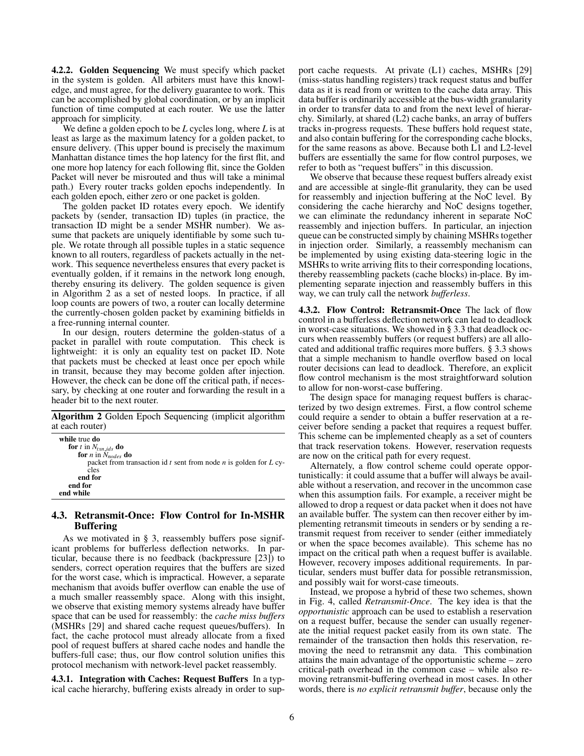4.2.2. Golden Sequencing We must specify which packet in the system is golden. All arbiters must have this knowledge, and must agree, for the delivery guarantee to work. This can be accomplished by global coordination, or by an implicit function of time computed at each router. We use the latter approach for simplicity.

We define a golden epoch to be *L* cycles long, where *L* is at least as large as the maximum latency for a golden packet, to ensure delivery. (This upper bound is precisely the maximum Manhattan distance times the hop latency for the first flit, and one more hop latency for each following flit, since the Golden Packet will never be misrouted and thus will take a minimal path.) Every router tracks golden epochs independently. In each golden epoch, either zero or one packet is golden.

The golden packet ID rotates every epoch. We identify packets by (sender, transaction ID) tuples (in practice, the transaction ID might be a sender MSHR number). We assume that packets are uniquely identifiable by some such tuple. We rotate through all possible tuples in a static sequence known to all routers, regardless of packets actually in the network. This sequence nevertheless ensures that every packet is eventually golden, if it remains in the network long enough, thereby ensuring its delivery. The golden sequence is given in Algorithm 2 as a set of nested loops. In practice, if all loop counts are powers of two, a router can locally determine the currently-chosen golden packet by examining bitfields in a free-running internal counter.

In our design, routers determine the golden-status of a packet in parallel with route computation. This check is lightweight: it is only an equality test on packet ID. Note that packets must be checked at least once per epoch while in transit, because they may become golden after injection. However, the check can be done off the critical path, if necessary, by checking at one router and forwarding the result in a header bit to the next router.

Algorithm 2 Golden Epoch Sequencing (implicit algorithm at each router)

| while true do<br>for t in $N_{tyn}$ ids do                              |
|-------------------------------------------------------------------------|
| for <i>n</i> in $N_{nodes}$ do                                          |
| packet from transaction id $t$ sent from node $n$ is golden for $L$ cy- |
| cles                                                                    |
| end for                                                                 |
| end for                                                                 |
| end while                                                               |

### 4.3. Retransmit-Once: Flow Control for In-MSHR Buffering

As we motivated in § 3, reassembly buffers pose significant problems for bufferless deflection networks. In particular, because there is no feedback (backpressure [23]) to senders, correct operation requires that the buffers are sized for the worst case, which is impractical. However, a separate mechanism that avoids buffer overflow can enable the use of a much smaller reassembly space. Along with this insight, we observe that existing memory systems already have buffer space that can be used for reassembly: the *cache miss buffers* (MSHRs [29] and shared cache request queues/buffers). In fact, the cache protocol must already allocate from a fixed pool of request buffers at shared cache nodes and handle the buffers-full case; thus, our flow control solution unifies this protocol mechanism with network-level packet reassembly.

4.3.1. Integration with Caches: Request Buffers In a typical cache hierarchy, buffering exists already in order to support cache requests. At private (L1) caches, MSHRs [29] (miss-status handling registers) track request status and buffer data as it is read from or written to the cache data array. This data buffer is ordinarily accessible at the bus-width granularity in order to transfer data to and from the next level of hierarchy. Similarly, at shared (L2) cache banks, an array of buffers tracks in-progress requests. These buffers hold request state, and also contain buffering for the corresponding cache blocks, for the same reasons as above. Because both L1 and L2-level buffers are essentially the same for flow control purposes, we refer to both as "request buffers" in this discussion.

We observe that because these request buffers already exist and are accessible at single-flit granularity, they can be used for reassembly and injection buffering at the NoC level. By considering the cache hierarchy and NoC designs together, we can eliminate the redundancy inherent in separate NoC reassembly and injection buffers. In particular, an injection queue can be constructed simply by chaining MSHRs together in injection order. Similarly, a reassembly mechanism can be implemented by using existing data-steering logic in the MSHRs to write arriving flits to their corresponding locations, thereby reassembling packets (cache blocks) in-place. By implementing separate injection and reassembly buffers in this way, we can truly call the network *bufferless*.

4.3.2. Flow Control: Retransmit-Once The lack of flow control in a bufferless deflection network can lead to deadlock in worst-case situations. We showed in § 3.3 that deadlock occurs when reassembly buffers (or request buffers) are all allocated and additional traffic requires more buffers. § 3.3 shows that a simple mechanism to handle overflow based on local router decisions can lead to deadlock. Therefore, an explicit flow control mechanism is the most straightforward solution to allow for non-worst-case buffering.

The design space for managing request buffers is characterized by two design extremes. First, a flow control scheme could require a sender to obtain a buffer reservation at a receiver before sending a packet that requires a request buffer. This scheme can be implemented cheaply as a set of counters that track reservation tokens. However, reservation requests are now on the critical path for every request.

Alternately, a flow control scheme could operate opportunistically: it could assume that a buffer will always be available without a reservation, and recover in the uncommon case when this assumption fails. For example, a receiver might be allowed to drop a request or data packet when it does not have an available buffer. The system can then recover either by implementing retransmit timeouts in senders or by sending a retransmit request from receiver to sender (either immediately or when the space becomes available). This scheme has no impact on the critical path when a request buffer is available. However, recovery imposes additional requirements. In particular, senders must buffer data for possible retransmission, and possibly wait for worst-case timeouts.

Instead, we propose a hybrid of these two schemes, shown in Fig. 4, called *Retransmit-Once*. The key idea is that the *opportunistic* approach can be used to establish a reservation on a request buffer, because the sender can usually regenerate the initial request packet easily from its own state. The remainder of the transaction then holds this reservation, removing the need to retransmit any data. This combination attains the main advantage of the opportunistic scheme – zero critical-path overhead in the common case – while also removing retransmit-buffering overhead in most cases. In other words, there is *no explicit retransmit buffer*, because only the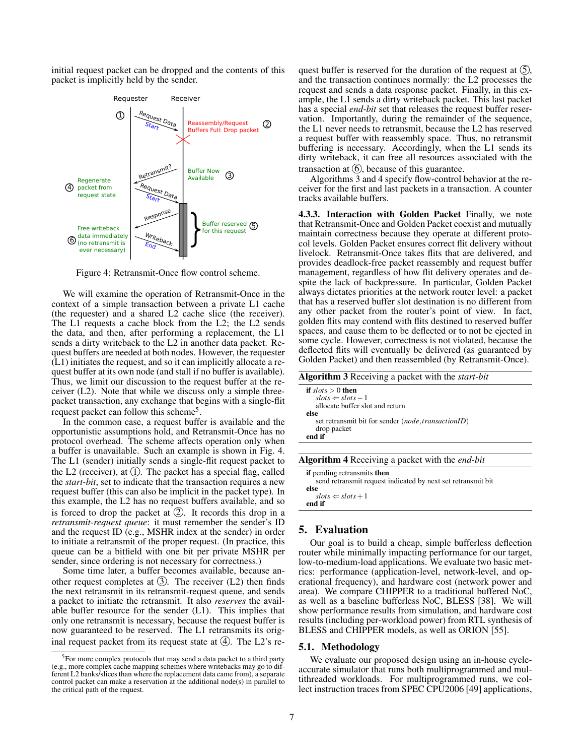initial request packet can be dropped and the contents of this packet is implicitly held by the sender.



Figure 4: Retransmit-Once flow control scheme.

We will examine the operation of Retransmit-Once in the context of a simple transaction between a private L1 cache (the requester) and a shared L2 cache slice (the receiver). The L1 requests a cache block from the L2; the L2 sends the data, and then, after performing a replacement, the L1 sends a dirty writeback to the L2 in another data packet. Request buffers are needed at both nodes. However, the requester (L1) initiates the request, and so it can implicitly allocate a request buffer at its own node (and stall if no buffer is available). Thus, we limit our discussion to the request buffer at the receiver (L2). Note that while we discuss only a simple threepacket transaction, any exchange that begins with a single-flit request packet can follow this scheme<sup>5</sup>.

In the common case, a request buffer is available and the opportunistic assumptions hold, and Retransmit-Once has no protocol overhead. The scheme affects operation only when a buffer is unavailable. Such an example is shown in Fig. 4. The L1 (sender) initially sends a single-flit request packet to the L2 (receiver), at  $(1)$ . The packet has a special flag, called the *start-bit*, set to indicate that the transaction requires a new request buffer (this can also be implicit in the packet type). In this example, the L2 has no request buffers available, and so is forced to drop the packet at  $(2)$ . It records this drop in a *retransmit-request queue*: it must remember the sender's ID and the request ID (e.g., MSHR index at the sender) in order to initiate a retransmit of the proper request. (In practice, this queue can be a bitfield with one bit per private MSHR per sender, since ordering is not necessary for correctness.)

Some time later, a buffer becomes available, because another request completes at  $(3)$ . The receiver  $(L2)$  then finds the next retransmit in its retransmit-request queue, and sends a packet to initiate the retransmit. It also *reserves* the available buffer resource for the sender (L1). This implies that only one retransmit is necessary, because the request buffer is now guaranteed to be reserved. The L1 retransmits its original request packet from its request state at  $(4)$ . The L2's request buffer is reserved for the duration of the request at  $(5)$ , and the transaction continues normally: the L2 processes the request and sends a data response packet. Finally, in this example, the L1 sends a dirty writeback packet. This last packet has a special *end-bit* set that releases the request buffer reservation. Importantly, during the remainder of the sequence, the L1 never needs to retransmit, because the L2 has reserved a request buffer with reassembly space. Thus, no retransmit buffering is necessary. Accordingly, when the L1 sends its dirty writeback, it can free all resources associated with the transaction at  $(6)$ , because of this guarantee.

Algorithms 3 and 4 specify flow-control behavior at the receiver for the first and last packets in a transaction. A counter tracks available buffers.

4.3.3. Interaction with Golden Packet Finally, we note that Retransmit-Once and Golden Packet coexist and mutually maintain correctness because they operate at different protocol levels. Golden Packet ensures correct flit delivery without livelock. Retransmit-Once takes flits that are delivered, and provides deadlock-free packet reassembly and request buffer management, regardless of how flit delivery operates and despite the lack of backpressure. In particular, Golden Packet always dictates priorities at the network router level: a packet that has a reserved buffer slot destination is no different from any other packet from the router's point of view. In fact, golden flits may contend with flits destined to reserved buffer spaces, and cause them to be deflected or to not be ejected in some cycle. However, correctness is not violated, because the deflected flits will eventually be delivered (as guaranteed by Golden Packet) and then reassembled (by Retransmit-Once).

| Algorithm 3 Receiving a packet with the <i>start-bit</i>                                                                                                                       |  |  |  |  |  |
|--------------------------------------------------------------------------------------------------------------------------------------------------------------------------------|--|--|--|--|--|
| if $slots > 0$ then<br>$slots \Leftarrow slots - 1$<br>allocate buffer slot and return<br>else<br>set retransmit bit for sender (node, transactionID)<br>drop packet<br>end if |  |  |  |  |  |
|                                                                                                                                                                                |  |  |  |  |  |
| Algorithm 4 Receiving a packet with the end-bit                                                                                                                                |  |  |  |  |  |
| if pending retransmits then<br>send retransmit request indicated by next set retransmit bit                                                                                    |  |  |  |  |  |

| sena renambimi request mareatea o prient set renambimi ont<br>else |  |
|--------------------------------------------------------------------|--|
| $slots \leftarrow slots + 1$                                       |  |
| end if                                                             |  |

## 5. Evaluation

Our goal is to build a cheap, simple bufferless deflection router while minimally impacting performance for our target, low-to-medium-load applications. We evaluate two basic metrics: performance (application-level, network-level, and operational frequency), and hardware cost (network power and area). We compare CHIPPER to a traditional buffered NoC, as well as a baseline bufferless NoC, BLESS [38]. We will show performance results from simulation, and hardware cost results (including per-workload power) from RTL synthesis of BLESS and CHIPPER models, as well as ORION [55].

### 5.1. Methodology

We evaluate our proposed design using an in-house cycleaccurate simulator that runs both multiprogrammed and multithreaded workloads. For multiprogrammed runs, we collect instruction traces from SPEC CPU2006 [49] applications,

<sup>&</sup>lt;sup>5</sup>For more complex protocols that may send a data packet to a third party (e.g., more complex cache mapping schemes where writebacks may go to different L2 banks/slices than where the replacement data came from), a separate control packet can make a reservation at the additional node(s) in parallel to the critical path of the request.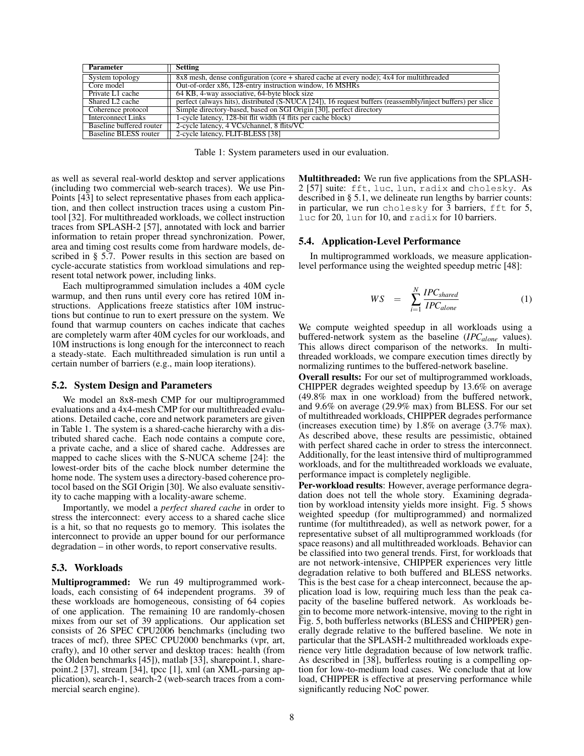| <b>Parameter</b>            | <b>Setting</b>                                                                                             |
|-----------------------------|------------------------------------------------------------------------------------------------------------|
| System topology             | $8x8$ mesh, dense configuration (core + shared cache at every node); $4x4$ for multithreaded               |
| Core model                  | Out-of-order x86, 128-entry instruction window, 16 MSHRs                                                   |
| Private L1 cache            | 64 KB, 4-way associative, 64-byte block size                                                               |
| Shared L <sub>2</sub> cache | perfect (always hits), distributed (S-NUCA [24]), 16 request buffers (reassembly/inject buffers) per slice |
| Coherence protocol          | Simple directory-based, based on SGI Origin [30], perfect directory                                        |
| Interconnect Links          | 1-cycle latency, 128-bit flit width (4 flits per cache block)                                              |
| Baseline buffered router    | 2-cycle latency, 4 VCs/channel, 8 flits/VC                                                                 |
| Baseline BLESS router       | 2-cycle latency, FLIT-BLESS [38]                                                                           |

Table 1: System parameters used in our evaluation.

as well as several real-world desktop and server applications (including two commercial web-search traces). We use Pin-Points [43] to select representative phases from each application, and then collect instruction traces using a custom Pintool [32]. For multithreaded workloads, we collect instruction traces from SPLASH-2 [57], annotated with lock and barrier information to retain proper thread synchronization. Power, area and timing cost results come from hardware models, described in § 5.7. Power results in this section are based on cycle-accurate statistics from workload simulations and represent total network power, including links.

Each multiprogrammed simulation includes a 40M cycle warmup, and then runs until every core has retired 10M instructions. Applications freeze statistics after 10M instructions but continue to run to exert pressure on the system. We found that warmup counters on caches indicate that caches are completely warm after 40M cycles for our workloads, and 10M instructions is long enough for the interconnect to reach a steady-state. Each multithreaded simulation is run until a certain number of barriers (e.g., main loop iterations).

#### 5.2. System Design and Parameters

We model an 8x8-mesh CMP for our multiprogrammed evaluations and a 4x4-mesh CMP for our multithreaded evaluations. Detailed cache, core and network parameters are given in Table 1. The system is a shared-cache hierarchy with a distributed shared cache. Each node contains a compute core, a private cache, and a slice of shared cache. Addresses are mapped to cache slices with the S-NUCA scheme [24]: the lowest-order bits of the cache block number determine the home node. The system uses a directory-based coherence protocol based on the SGI Origin [30]. We also evaluate sensitivity to cache mapping with a locality-aware scheme.

Importantly, we model a *perfect shared cache* in order to stress the interconnect: every access to a shared cache slice is a hit, so that no requests go to memory. This isolates the interconnect to provide an upper bound for our performance degradation – in other words, to report conservative results.

### 5.3. Workloads

Multiprogrammed: We run 49 multiprogrammed workloads, each consisting of 64 independent programs. 39 of these workloads are homogeneous, consisting of 64 copies of one application. The remaining 10 are randomly-chosen mixes from our set of 39 applications. Our application set consists of 26 SPEC CPU2006 benchmarks (including two traces of mcf), three SPEC CPU2000 benchmarks (vpr, art, crafty), and 10 other server and desktop traces: health (from the Olden benchmarks [45]), matlab [33], sharepoint.1, sharepoint.2 [37], stream [34], tpcc [1], xml (an XML-parsing application), search-1, search-2 (web-search traces from a commercial search engine).

Multithreaded: We run five applications from the SPLASH-2 [57] suite: fft, luc, lun, radix and cholesky. As described in § 5.1, we delineate run lengths by barrier counts: in particular, we run cholesky for 3 barriers, fft for 5, luc for 20, lun for 10, and radix for 10 barriers.

### 5.4. Application-Level Performance

In multiprogrammed workloads, we measure applicationlevel performance using the weighted speedup metric [48]:

$$
WS = \sum_{i=1}^{N} \frac{IPC_{shared}}{IPC_{alone}} \tag{1}
$$

We compute weighted speedup in all workloads using a buffered-network system as the baseline (*IPCalone* values). This allows direct comparison of the networks. In multithreaded workloads, we compare execution times directly by normalizing runtimes to the buffered-network baseline.

Overall results: For our set of multiprogrammed workloads, CHIPPER degrades weighted speedup by 13.6% on average (49.8% max in one workload) from the buffered network, and 9.6% on average (29.9% max) from BLESS. For our set of multithreaded workloads, CHIPPER degrades performance (increases execution time) by 1.8% on average  $(3.7\% \text{ max})$ . As described above, these results are pessimistic, obtained with perfect shared cache in order to stress the interconnect. Additionally, for the least intensive third of multiprogrammed workloads, and for the multithreaded workloads we evaluate, performance impact is completely negligible.

Per-workload results: However, average performance degradation does not tell the whole story. Examining degradation by workload intensity yields more insight. Fig. 5 shows weighted speedup (for multiprogrammed) and normalized runtime (for multithreaded), as well as network power, for a representative subset of all multiprogrammed workloads (for space reasons) and all multithreaded workloads. Behavior can be classified into two general trends. First, for workloads that are not network-intensive, CHIPPER experiences very little degradation relative to both buffered and BLESS networks. This is the best case for a cheap interconnect, because the application load is low, requiring much less than the peak capacity of the baseline buffered network. As workloads begin to become more network-intensive, moving to the right in Fig. 5, both bufferless networks (BLESS and CHIPPER) generally degrade relative to the buffered baseline. We note in particular that the SPLASH-2 multithreaded workloads experience very little degradation because of low network traffic. As described in [38], bufferless routing is a compelling option for low-to-medium load cases. We conclude that at low load, CHIPPER is effective at preserving performance while significantly reducing NoC power.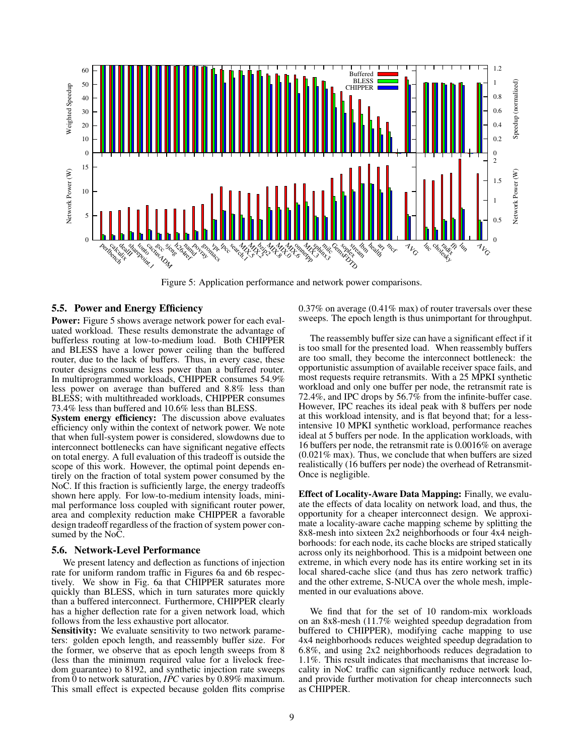

Figure 5: Application performance and network power comparisons.

## 5.5. Power and Energy Efficiency

Power: Figure 5 shows average network power for each evaluated workload. These results demonstrate the advantage of bufferless routing at low-to-medium load. Both CHIPPER and BLESS have a lower power ceiling than the buffered router, due to the lack of buffers. Thus, in every case, these router designs consume less power than a buffered router. In multiprogrammed workloads, CHIPPER consumes 54.9% less power on average than buffered and 8.8% less than BLESS; with multithreaded workloads, CHIPPER consumes 73.4% less than buffered and 10.6% less than BLESS.

System energy efficiency: The discussion above evaluates efficiency only within the context of network power. We note that when full-system power is considered, slowdowns due to interconnect bottlenecks can have significant negative effects on total energy. A full evaluation of this tradeoff is outside the scope of this work. However, the optimal point depends entirely on the fraction of total system power consumed by the NoC. If this fraction is sufficiently large, the energy tradeoffs shown here apply. For low-to-medium intensity loads, minimal performance loss coupled with significant router power, area and complexity reduction make CHIPPER a favorable design tradeoff regardless of the fraction of system power consumed by the NoC.

### 5.6. Network-Level Performance

We present latency and deflection as functions of injection rate for uniform random traffic in Figures 6a and 6b respectively. We show in Fig. 6a that CHIPPER saturates more quickly than BLESS, which in turn saturates more quickly than a buffered interconnect. Furthermore, CHIPPER clearly has a higher deflection rate for a given network load, which follows from the less exhaustive port allocator.

Sensitivity: We evaluate sensitivity to two network parameters: golden epoch length, and reassembly buffer size. For the former, we observe that as epoch length sweeps from 8 (less than the minimum required value for a livelock freedom guarantee) to 8192, and synthetic injection rate sweeps from 0 to network saturation, *IPC* varies by 0.89% maximum. This small effect is expected because golden flits comprise 0.37% on average (0.41% max) of router traversals over these sweeps. The epoch length is thus unimportant for throughput.

The reassembly buffer size can have a significant effect if it is too small for the presented load. When reassembly buffers are too small, they become the interconnect bottleneck: the opportunistic assumption of available receiver space fails, and most requests require retransmits. With a 25 MPKI synthetic workload and only one buffer per node, the retransmit rate is 72.4%, and IPC drops by  $56.7\%$  from the infinite-buffer case. However, IPC reaches its ideal peak with 8 buffers per node at this workload intensity, and is flat beyond that; for a lessintensive 10 MPKI synthetic workload, performance reaches ideal at 5 buffers per node. In the application workloads, with 16 buffers per node, the retransmit rate is 0.0016% on average (0.021% max). Thus, we conclude that when buffers are sized realistically (16 buffers per node) the overhead of Retransmit-Once is negligible.

Effect of Locality-Aware Data Mapping: Finally, we evaluate the effects of data locality on network load, and thus, the opportunity for a cheaper interconnect design. We approximate a locality-aware cache mapping scheme by splitting the 8x8-mesh into sixteen 2x2 neighborhoods or four 4x4 neighborhoods: for each node, its cache blocks are striped statically across only its neighborhood. This is a midpoint between one extreme, in which every node has its entire working set in its local shared-cache slice (and thus has zero network traffic) and the other extreme, S-NUCA over the whole mesh, implemented in our evaluations above.

We find that for the set of 10 random-mix workloads on an 8x8-mesh (11.7% weighted speedup degradation from buffered to CHIPPER), modifying cache mapping to use 4x4 neighborhoods reduces weighted speedup degradation to 6.8%, and using 2x2 neighborhoods reduces degradation to 1.1%. This result indicates that mechanisms that increase locality in NoC traffic can significantly reduce network load, and provide further motivation for cheap interconnects such as CHIPPER.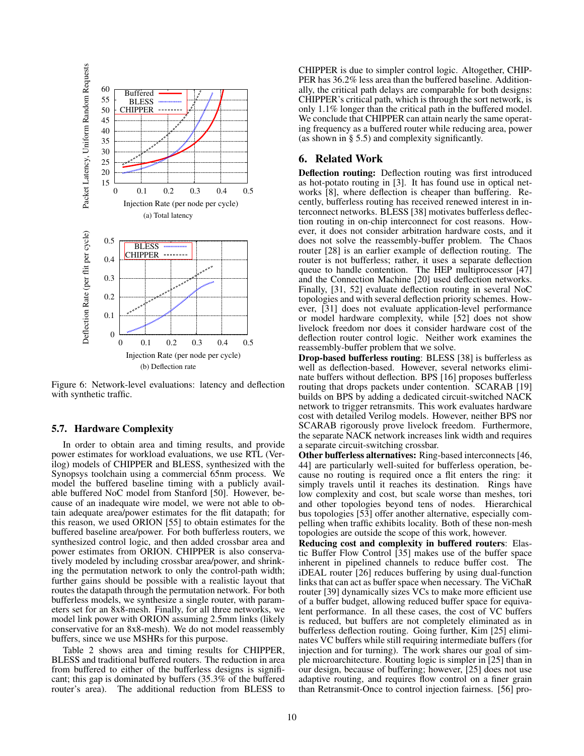

Figure 6: Network-level evaluations: latency and deflection with synthetic traffic.

### 5.7. Hardware Complexity

In order to obtain area and timing results, and provide power estimates for workload evaluations, we use RTL (Verilog) models of CHIPPER and BLESS, synthesized with the Synopsys toolchain using a commercial 65nm process. We model the buffered baseline timing with a publicly available buffered NoC model from Stanford [50]. However, because of an inadequate wire model, we were not able to obtain adequate area/power estimates for the flit datapath; for this reason, we used ORION [55] to obtain estimates for the buffered baseline area/power. For both bufferless routers, we synthesized control logic, and then added crossbar area and power estimates from ORION. CHIPPER is also conservatively modeled by including crossbar area/power, and shrinking the permutation network to only the control-path width; further gains should be possible with a realistic layout that routes the datapath through the permutation network. For both bufferless models, we synthesize a single router, with parameters set for an 8x8-mesh. Finally, for all three networks, we model link power with ORION assuming 2.5mm links (likely conservative for an 8x8-mesh). We do not model reassembly buffers, since we use MSHRs for this purpose.

Table 2 shows area and timing results for CHIPPER, BLESS and traditional buffered routers. The reduction in area from buffered to either of the bufferless designs is significant; this gap is dominated by buffers (35.3% of the buffered router's area). The additional reduction from BLESS to CHIPPER is due to simpler control logic. Altogether, CHIP-PER has 36.2% less area than the buffered baseline. Additionally, the critical path delays are comparable for both designs: CHIPPER's critical path, which is through the sort network, is only 1.1% longer than the critical path in the buffered model. We conclude that CHIPPER can attain nearly the same operating frequency as a buffered router while reducing area, power (as shown in § 5.5) and complexity significantly.

## 6. Related Work

Deflection routing: Deflection routing was first introduced as hot-potato routing in [3]. It has found use in optical networks [8], where deflection is cheaper than buffering. Recently, bufferless routing has received renewed interest in interconnect networks. BLESS [38] motivates bufferless deflection routing in on-chip interconnect for cost reasons. However, it does not consider arbitration hardware costs, and it does not solve the reassembly-buffer problem. The Chaos router [28] is an earlier example of deflection routing. The router is not bufferless; rather, it uses a separate deflection queue to handle contention. The HEP multiprocessor [47] and the Connection Machine [20] used deflection networks. Finally, [31, 52] evaluate deflection routing in several NoC topologies and with several deflection priority schemes. However, [31] does not evaluate application-level performance or model hardware complexity, while [52] does not show livelock freedom nor does it consider hardware cost of the deflection router control logic. Neither work examines the reassembly-buffer problem that we solve.

Drop-based bufferless routing: BLESS [38] is bufferless as well as deflection-based. However, several networks eliminate buffers without deflection. BPS [16] proposes bufferless routing that drops packets under contention. SCARAB [19] builds on BPS by adding a dedicated circuit-switched NACK network to trigger retransmits. This work evaluates hardware cost with detailed Verilog models. However, neither BPS nor SCARAB rigorously prove livelock freedom. Furthermore, the separate NACK network increases link width and requires a separate circuit-switching crossbar.

Other bufferless alternatives: Ring-based interconnects [46, 44] are particularly well-suited for bufferless operation, because no routing is required once a flit enters the ring: it simply travels until it reaches its destination. Rings have low complexity and cost, but scale worse than meshes, tori and other topologies beyond tens of nodes. Hierarchical bus topologies [53] offer another alternative, especially compelling when traffic exhibits locality. Both of these non-mesh topologies are outside the scope of this work, however.

Reducing cost and complexity in buffered routers: Elastic Buffer Flow Control [35] makes use of the buffer space inherent in pipelined channels to reduce buffer cost. The iDEAL router [26] reduces buffering by using dual-function links that can act as buffer space when necessary. The ViChaR router [39] dynamically sizes VCs to make more efficient use of a buffer budget, allowing reduced buffer space for equivalent performance. In all these cases, the cost of VC buffers is reduced, but buffers are not completely eliminated as in bufferless deflection routing. Going further, Kim [25] eliminates VC buffers while still requiring intermediate buffers (for injection and for turning). The work shares our goal of simple microarchitecture. Routing logic is simpler in [25] than in our design, because of buffering; however, [25] does not use adaptive routing, and requires flow control on a finer grain than Retransmit-Once to control injection fairness. [56] pro-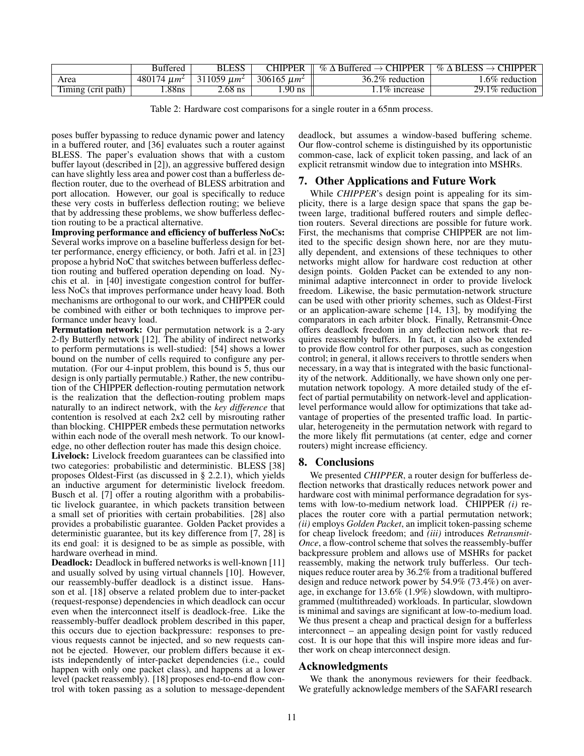|                    | <b>Buttered</b>  | BLESS            | <b>CHIPPER</b>   | $\%$ $\Delta$ Buffered $\rightarrow$ CHIPPER | $\%$ $\Delta$ BLESS $\rightarrow$ CHIPPER |
|--------------------|------------------|------------------|------------------|----------------------------------------------|-------------------------------------------|
| Area               | 480174 $\mu m^2$ | 311059 $\mu m^2$ | 306165 $\mu m^2$ | 36.2\% reduction                             | 6% reduction                              |
| Timing (crit path) | .88ns            | $\angle 68$ ns   | $.90$ ns         | $1.1\%$ increase                             | $29.1\%$ reduction                        |

Table 2: Hardware cost comparisons for a single router in a 65nm process.

poses buffer bypassing to reduce dynamic power and latency in a buffered router, and [36] evaluates such a router against BLESS. The paper's evaluation shows that with a custom buffer layout (described in [2]), an aggressive buffered design can have slightly less area and power cost than a bufferless deflection router, due to the overhead of BLESS arbitration and port allocation. However, our goal is specifically to reduce these very costs in bufferless deflection routing; we believe that by addressing these problems, we show bufferless deflection routing to be a practical alternative.

Improving performance and efficiency of bufferless NoCs: Several works improve on a baseline bufferless design for better performance, energy efficiency, or both. Jafri et al. in [23] propose a hybrid NoC that switches between bufferless deflection routing and buffered operation depending on load. Nychis et al. in [40] investigate congestion control for bufferless NoCs that improves performance under heavy load. Both mechanisms are orthogonal to our work, and CHIPPER could be combined with either or both techniques to improve performance under heavy load.

Permutation network: Our permutation network is a 2-ary 2-fly Butterfly network [12]. The ability of indirect networks to perform permutations is well-studied: [54] shows a lower bound on the number of cells required to configure any permutation. (For our 4-input problem, this bound is 5, thus our design is only partially permutable.) Rather, the new contribution of the CHIPPER deflection-routing permutation network is the realization that the deflection-routing problem maps naturally to an indirect network, with the *key difference* that contention is resolved at each 2x2 cell by misrouting rather than blocking. CHIPPER embeds these permutation networks within each node of the overall mesh network. To our knowledge, no other deflection router has made this design choice.

Livelock: Livelock freedom guarantees can be classified into two categories: probabilistic and deterministic. BLESS [38] proposes Oldest-First (as discussed in § 2.2.1), which yields an inductive argument for deterministic livelock freedom. Busch et al. [7] offer a routing algorithm with a probabilistic livelock guarantee, in which packets transition between a small set of priorities with certain probabilities. [28] also provides a probabilistic guarantee. Golden Packet provides a deterministic guarantee, but its key difference from [7, 28] is its end goal: it is designed to be as simple as possible, with hardware overhead in mind.

Deadlock: Deadlock in buffered networks is well-known [11] and usually solved by using virtual channels [10]. However, our reassembly-buffer deadlock is a distinct issue. Hansson et al. [18] observe a related problem due to inter-packet (request-response) dependencies in which deadlock can occur even when the interconnect itself is deadlock-free. Like the reassembly-buffer deadlock problem described in this paper, this occurs due to ejection backpressure: responses to previous requests cannot be injected, and so new requests cannot be ejected. However, our problem differs because it exists independently of inter-packet dependencies (i.e., could happen with only one packet class), and happens at a lower level (packet reassembly). [18] proposes end-to-end flow control with token passing as a solution to message-dependent deadlock, but assumes a window-based buffering scheme. Our flow-control scheme is distinguished by its opportunistic common-case, lack of explicit token passing, and lack of an explicit retransmit window due to integration into MSHRs.

## 7. Other Applications and Future Work

While *CHIPPER*'s design point is appealing for its simplicity, there is a large design space that spans the gap between large, traditional buffered routers and simple deflection routers. Several directions are possible for future work. First, the mechanisms that comprise CHIPPER are not limited to the specific design shown here, nor are they mutually dependent, and extensions of these techniques to other networks might allow for hardware cost reduction at other design points. Golden Packet can be extended to any nonminimal adaptive interconnect in order to provide livelock freedom. Likewise, the basic permutation-network structure can be used with other priority schemes, such as Oldest-First or an application-aware scheme [14, 13], by modifying the comparators in each arbiter block. Finally, Retransmit-Once offers deadlock freedom in any deflection network that requires reassembly buffers. In fact, it can also be extended to provide flow control for other purposes, such as congestion control; in general, it allows receivers to throttle senders when necessary, in a way that is integrated with the basic functionality of the network. Additionally, we have shown only one permutation network topology. A more detailed study of the effect of partial permutability on network-level and applicationlevel performance would allow for optimizations that take advantage of properties of the presented traffic load. In particular, heterogeneity in the permutation network with regard to the more likely flit permutations (at center, edge and corner routers) might increase efficiency.

## 8. Conclusions

We presented *CHIPPER*, a router design for bufferless deflection networks that drastically reduces network power and hardware cost with minimal performance degradation for systems with low-to-medium network load. CHIPPER *(i)* replaces the router core with a partial permutation network; *(ii)* employs *Golden Packet*, an implicit token-passing scheme for cheap livelock freedom; and *(iii)* introduces *Retransmit-Once*, a flow-control scheme that solves the reassembly-buffer backpressure problem and allows use of MSHRs for packet reassembly, making the network truly bufferless. Our techniques reduce router area by 36.2% from a traditional buffered design and reduce network power by 54.9% (73.4%) on average, in exchange for 13.6% (1.9%) slowdown, with multiprogrammed (multithreaded) workloads. In particular, slowdown is minimal and savings are significant at low-to-medium load. We thus present a cheap and practical design for a bufferless interconnect – an appealing design point for vastly reduced cost. It is our hope that this will inspire more ideas and further work on cheap interconnect design.

## Acknowledgments

We thank the anonymous reviewers for their feedback. We gratefully acknowledge members of the SAFARI research